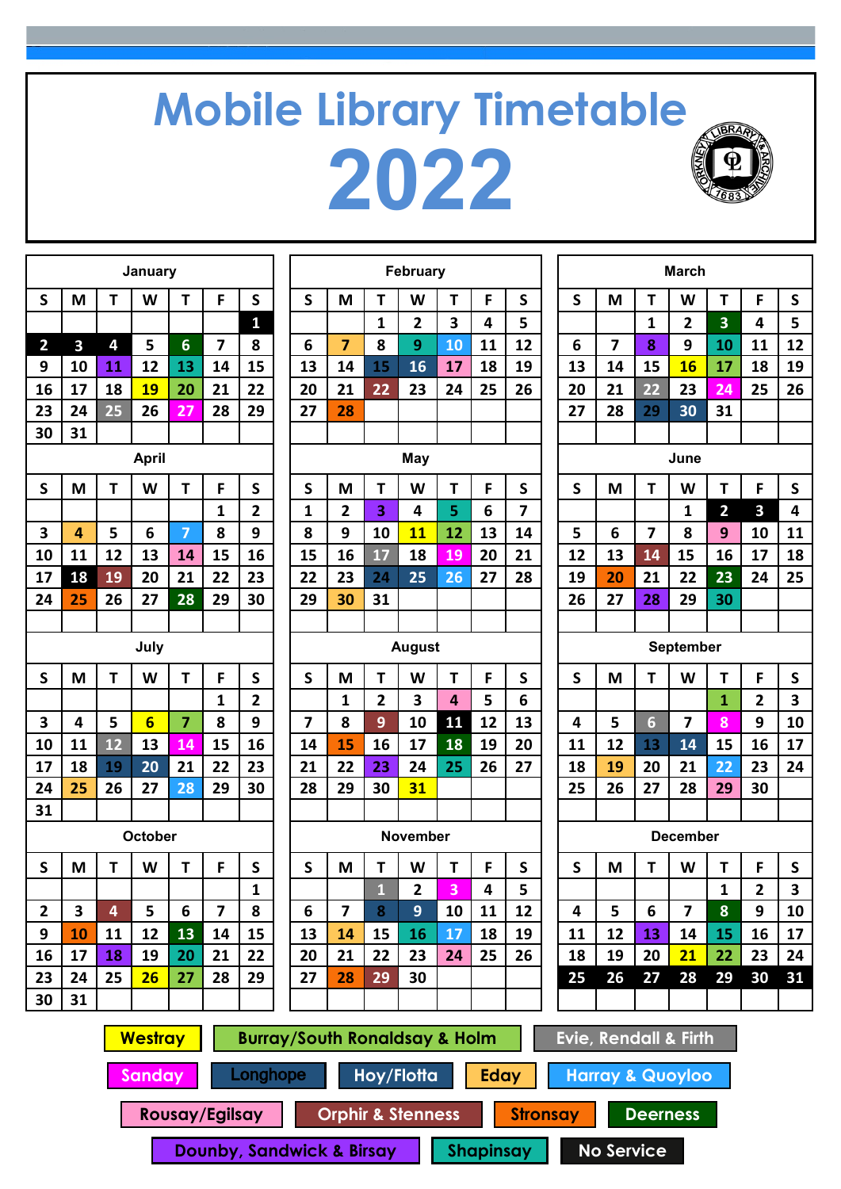## **Mobile Library Timetable 2022**



| January                 |                         |    |                 |                | February                |                         |                |                         | <b>March</b> |                         |    |    |    |    |                |                |                         |                         |                         |                         |
|-------------------------|-------------------------|----|-----------------|----------------|-------------------------|-------------------------|----------------|-------------------------|--------------|-------------------------|----|----|----|----|----------------|----------------|-------------------------|-------------------------|-------------------------|-------------------------|
| S                       | M                       | T  | W               | T              | F                       | S                       | S              | M                       | Т            | W                       | T  | F  | S  | S  | M              | T              | W                       | T                       | F                       | S                       |
|                         |                         |    |                 |                |                         | 1                       |                |                         | 1            | 2                       | 3  | 4  | 5  |    |                | 1              | $\mathbf{2}$            | $\overline{\mathbf{3}}$ | 4                       | 5                       |
| $\overline{2}$          | $\overline{\mathbf{3}}$ | 4  | 5               | 6              | $\overline{7}$          | 8                       | 6              | $\overline{7}$          | 8            | 9                       | 10 | 11 | 12 | 6  | $\overline{7}$ | 8              | 9                       | 10                      | 11                      | 12                      |
| 9                       | 10                      | 11 | 12              | 13             | 14                      | 15                      | 13             | 14                      | 15           | 16                      | 17 | 18 | 19 | 13 | 14             | 15             | 16                      | 17                      | 18                      | 19                      |
| 16                      | 17                      | 18 | <b>19</b>       | 20             | 21                      | 22                      | 20             | 21                      | 22           | 23                      | 24 | 25 | 26 | 20 | 21             | 22             | 23                      | 24                      | 25                      | 26                      |
| 23                      | 24                      | 25 | 26              | 27             | 28                      | 29                      | 27             | 28                      |              |                         |    |    |    | 27 | 28             | 29             | 30                      | 31                      |                         |                         |
| 30                      | 31                      |    |                 |                |                         |                         |                |                         |              |                         |    |    |    |    |                |                |                         |                         |                         |                         |
|                         |                         |    | <b>April</b>    |                |                         |                         |                |                         |              | May                     |    |    |    |    |                |                | June                    |                         |                         |                         |
| $\mathsf{S}$            | M                       | Τ  | W               | T              | F                       | $\mathsf{S}$            | S              | M                       | T            | W                       | T  | F  | S  | S  | M              | T              | W                       | T                       | F                       | ${\sf S}$               |
|                         |                         |    |                 |                | 1                       | $\mathbf{2}$            | 1              | 2                       | 3            | 4                       | 5  | 6  | 7  |    |                |                | 1                       | $\overline{2}$          | 3                       | 4                       |
| $\overline{\mathbf{3}}$ | $\overline{4}$          | 5  | 6               | $\overline{7}$ | 8                       | 9                       | 8              | 9                       | 10           | 11                      | 12 | 13 | 14 | 5  | 6              | $\overline{7}$ | 8                       | 9                       | 10                      | 11                      |
| 10                      | 11                      | 12 | 13              | 14             | 15                      | 16                      | 15             | 16                      | 17           | 18                      | 19 | 20 | 21 | 12 | 13             | 14             | 15                      | 16                      | 17                      | 18                      |
| 17                      | 18                      | 19 | 20              | 21             | 22                      | 23                      | 22             | 23                      | 24           | 25                      | 26 | 27 | 28 | 19 | 20             | 21             | 22                      | 23                      | 24                      | 25                      |
| 24                      | 25                      | 26 | 27              | 28             | 29                      | 30                      | 29             | 30                      | 31           |                         |    |    |    | 26 | 27             | 28             | 29                      | 30                      |                         |                         |
|                         |                         |    |                 |                |                         |                         |                |                         |              |                         |    |    |    |    |                |                |                         |                         |                         |                         |
|                         |                         |    | July            |                |                         |                         |                | <b>August</b>           |              |                         |    |    |    |    | September      |                |                         |                         |                         |                         |
| S                       | M                       | Τ  | W               | Т              | F                       | $\mathsf{s}$            | S              | M                       | T            | W                       | T  | F  | S  | S  | M              | T              | W                       | T                       | F                       | S                       |
|                         |                         |    |                 |                | 1                       | $\overline{\mathbf{2}}$ |                | 1                       | 2            | $\overline{\mathbf{3}}$ | 4  | 5  | 6  |    |                |                |                         | $\mathbf{1}$            | $\mathbf{2}$            | 3                       |
| 3                       | 4                       | 5  | $6\overline{6}$ | 7              | 8                       | 9                       | $\overline{7}$ | 8                       | 9            | 10                      | 11 | 12 | 13 | 4  | 5              | $6\phantom{1}$ | 7                       | 8                       | 9                       | 10                      |
| 10                      | 11                      | 12 | 13              | 14             | 15                      | 16                      | 14             | 15                      | 16           | 17                      | 18 | 19 | 20 | 11 | 12             | 13             | 14                      | 15                      | 16                      | 17                      |
| 17                      | 18                      | 19 | 20              | 21             | 22                      | 23                      | 21             | 22                      | 23           | 24                      | 25 | 26 | 27 | 18 | 19             | 20             | 21                      | 22                      | 23                      | 24                      |
| 24                      | 25                      | 26 | 27              | 28             | 29                      | 30                      | 28             | 29                      | 30           | 31                      |    |    |    | 25 | 26             | 27             | 28                      | 29                      | 30                      |                         |
| 31                      |                         |    |                 |                |                         |                         |                |                         |              |                         |    |    |    |    |                |                |                         |                         |                         |                         |
|                         |                         |    | October         |                |                         |                         |                |                         |              | <b>November</b>         |    |    |    |    |                |                | <b>December</b>         |                         |                         |                         |
| S                       | M                       | Т  | W               | Τ              | F                       | S                       | S              | M                       | Т            | W                       | Т  | F  | S  | S  | M              | Т              | W                       | Τ                       | F                       | S                       |
|                         |                         |    |                 |                |                         | $\mathbf{1}$            |                |                         | k.<br>ш      | 2                       | 3  | 4  | 5  |    |                |                |                         | $\mathbf{1}$            | $\overline{\mathbf{c}}$ | $\overline{\mathbf{3}}$ |
| $\mathbf{2}$            | 3                       | 4  | 5               | 6              | $\overline{\mathbf{z}}$ | 8                       | 6              | $\overline{\mathbf{z}}$ | 8            | 9 <sup>°</sup>          | 10 | 11 | 12 | 4  | 5              | 6              | $\overline{\mathbf{z}}$ | 8                       | 9                       | 10                      |
| 9                       | 10                      | 11 | 12              | 13             | 14                      | 15                      | 13             | 14                      | 15           | 16                      | 17 | 18 | 19 | 11 | 12             | 13             | 14                      | 15                      | 16                      | 17                      |
| 16                      | 17                      | 18 | 19              | 20             | 21                      | 22                      | 20             | 21                      | 22           | 23                      | 24 | 25 | 26 | 18 | 19             | 20             | 21                      | 22                      | 23                      | 24                      |
| 23                      | 24                      | 25 | 26              | 27             | 28                      | 29                      | 27             | 28                      | 29           | 30                      |    |    |    | 25 | 26             | 27             | 28                      | 29                      | 30                      | 31                      |
| 30                      | 31                      |    |                 |                |                         |                         |                |                         |              |                         |    |    |    |    |                |                |                         |                         |                         |                         |
|                         |                         |    |                 |                |                         |                         |                |                         |              |                         |    |    |    |    |                |                |                         |                         |                         |                         |

| January        |                 |                          |                |                         |                         |                | February       |                         |    |                |              |    |                 | <b>March</b>            |                         |                |                |
|----------------|-----------------|--------------------------|----------------|-------------------------|-------------------------|----------------|----------------|-------------------------|----|----------------|--------------|----|-----------------|-------------------------|-------------------------|----------------|----------------|
| W              | T               | F                        | S              | $\mathsf{S}$            | M                       | T              | W              | T                       | F  | S              | $\mathsf{s}$ | M  | T               | W                       | T                       | F              | S              |
|                |                 |                          | $\mathbf{1}$   |                         |                         | $\mathbf{1}$   | $\overline{2}$ | 3                       | 4  | 5              |              |    | 1               | $\overline{\mathbf{2}}$ | $\overline{\mathbf{3}}$ | 4              | 5              |
| 5              | $6\phantom{1}6$ | $\overline{\phantom{a}}$ | 8              | 6                       | $\overline{7}$          | 8              | 9              | 10                      | 11 | 12             | 6            | 7  | 8               | 9                       | 10                      | 11             | $\mathbf{1}$   |
| 12             | 13              | 14                       | 15             | 13                      | 14                      | 15             | 16             | 17                      | 18 | 19             | 13           | 14 | 15              | 16                      | 17                      | 18             | 1 <sup>′</sup> |
| <b>19</b>      | 20              | 21                       | 22             | 20                      | 21                      | 22             | 23             | 24                      | 25 | 26             | 20           | 21 | 22              | 23                      | 24                      | 25             | 2(             |
| 26             | 27              | 28                       | 29             | 27                      | 28                      |                |                |                         |    |                | 27           | 28 | 29              | 30                      | 31                      |                |                |
|                |                 |                          |                |                         |                         |                |                |                         |    |                |              |    |                 |                         |                         |                |                |
| <b>April</b>   |                 |                          |                |                         |                         |                | <b>May</b>     |                         |    |                |              |    |                 | June                    |                         |                |                |
| W              | T               | F                        | $\mathsf{s}$   | $\mathsf{s}$            | M                       | T              | W              | T                       | F  | S              | S            | M  | T               | W                       | T                       | F              | S              |
|                |                 | 1                        | $\overline{2}$ | 1                       | $\overline{2}$          | 3              | 4              | 5                       | 6  | $\overline{7}$ |              |    |                 | $\mathbf{1}$            | $\overline{2}$          | 3              | 4              |
| 6              | $\overline{7}$  | 8                        | 9              | 8                       | 9                       | 10             | 11             | 12                      | 13 | 14             | 5            | 6  | $\overline{7}$  | 8                       | 9                       | 10             | $\mathbf{1}$   |
| 13             | 14              | 15                       | 16             | 15                      | 16                      | 17             | 18             | 19                      | 20 | 21             | 12           | 13 | 14              | 15                      | 16                      | 17             | $\mathbf{1}$   |
| 20             | 21              | 22                       | 23             | 22                      | 23                      | 24             | 25             | 26                      | 27 | 28             | 19           | 20 | 21              | 22                      | 23                      | 24             | 2!             |
| 27             | 28              | 29                       | 30             | 29                      | 30                      | 31             |                |                         |    |                | 26           | 27 | 28              | 29                      | 30                      |                |                |
|                |                 |                          |                |                         |                         |                |                |                         |    |                |              |    |                 |                         |                         |                |                |
| July           |                 |                          |                |                         |                         |                | <b>August</b>  |                         |    |                | September    |    |                 |                         |                         |                |                |
| W              | T               | F                        | $\mathsf{s}$   | $\mathsf{s}$            | M                       | T              | W              | T                       | F  | S              | $\mathsf{s}$ | M  | T               | W                       | T                       | F              | S              |
|                |                 | 1                        | $\overline{2}$ |                         | $\mathbf{1}$            | $\overline{2}$ | 3              | $\overline{\mathbf{4}}$ | 5  | 6              |              |    |                 |                         | $\mathbf{1}$            | $\overline{2}$ | 3              |
| $6\overline{}$ | $\overline{7}$  | 8                        | 9              | $\overline{\mathbf{z}}$ | 8                       | 9              | 10             | 11                      | 12 | 13             | 4            | 5  | $6\phantom{1}6$ | $\overline{7}$          | 8                       | 9              | 1 <sub>1</sub> |
| 13             | 14              | 15                       | 16             | 14                      | 15                      | 16             | 17             | 18                      | 19 | 20             | 11           | 12 | 13              | 14                      | 15                      | 16             | $\mathbf{1}$   |
| 20             | 21              | 22                       | 23             | 21                      | 22                      | 23             | 24             | 25                      | 26 | 27             | 18           | 19 | 20              | 21                      | 22                      | 23             | 2 <sub>4</sub> |
| 27             | 28              | 29                       | 30             | 28                      | 29                      | 30             | 31             |                         |    |                | 25           | 26 | 27              | 28                      | 29                      | 30             |                |
|                |                 |                          |                |                         |                         |                |                |                         |    |                |              |    |                 |                         |                         |                |                |
| <b>October</b> |                 |                          |                |                         |                         |                | November       |                         |    |                |              |    |                 | <b>December</b>         |                         |                |                |
| W              | T               | F                        | $\mathsf{S}$   | $\mathsf{s}$            | M                       | T              | W              | T                       | F  | $\mathsf{s}$   | $\mathsf{s}$ | M  | T               | W                       | T                       | F              | S              |
|                |                 |                          | 1              |                         |                         | $\mathbf{1}$   | $\mathbf{2}$   | 3                       | 4  | 5              |              |    |                 |                         | 1                       | 2              | 3              |
| 5              | 6               | $\overline{\mathbf{z}}$  | 8              | 6                       | $\overline{\mathbf{z}}$ | 8              | 9              | 10                      | 11 | 12             | 4            | 5  | 6               | $\overline{\mathbf{z}}$ | 8                       | 9              | 1 <sub>1</sub> |
| 12             | 13              | 14                       | 15             | 13                      | 14                      | 15             | 16             | 17                      | 18 | 19             | 11           | 12 | 13              | 14                      | 15                      | 16             | $\mathbf{1}$   |
| 19             | 20              | 21                       | 22             | 20                      | 21                      | 22             | 23             | 24                      | 25 | 26             | 18           | 19 | 20              | 21                      | 22                      | 23             | 2 <sub>0</sub> |
| 26             | 27              | 28                       | 29             | 27                      | 28                      | 29             | 30             |                         |    |                | 25           | 26 | 27              | 28                      | 29                      | 30             | 3 <sup>2</sup> |
|                |                 |                          |                |                         |                         |                |                |                         |    |                |              |    |                 |                         |                         |                |                |
|                |                 |                          |                |                         |                         |                |                |                         |    |                |              |    |                 |                         |                         |                |                |

|           |    |                 | <b>March</b>    |                         |                |    |  |  |  |
|-----------|----|-----------------|-----------------|-------------------------|----------------|----|--|--|--|
| S         | M  | Τ               | W               | T                       | F              | S  |  |  |  |
|           |    | 1               | 2               | 3                       | 4              | 5  |  |  |  |
| 6         | 7  | 8               | 9               | 10                      | 11             | 12 |  |  |  |
| 13        | 14 | 15              | 16              | 17                      | 18             | 19 |  |  |  |
| 20        | 21 | $\overline{22}$ | 23              | 24                      | 25             | 26 |  |  |  |
| 27        | 28 | 29              | 30              | 31                      |                |    |  |  |  |
|           |    |                 |                 |                         |                |    |  |  |  |
| June      |    |                 |                 |                         |                |    |  |  |  |
| S         | M  | T               | W               | T                       | F              | S  |  |  |  |
|           |    |                 | 1               | $\overline{\mathbf{2}}$ | 3              | 4  |  |  |  |
| 5         | 6  | 7               | 8               | 9                       | 10             | 11 |  |  |  |
| 12        | 13 | 14              | 15              | 16                      | 17             | 18 |  |  |  |
| 19        | 20 | 21              | 22              | 23                      | 24             | 25 |  |  |  |
| 26        | 27 | 28              | 29              | 30                      |                |    |  |  |  |
|           |    |                 |                 |                         |                |    |  |  |  |
| September |    |                 |                 |                         |                |    |  |  |  |
| S         | M  | Τ               | W               | Τ                       | F              | S  |  |  |  |
|           |    |                 |                 | $\mathbf{1}$            | $\overline{2}$ | 3  |  |  |  |
| 4         | 5  | $6\phantom{1}6$ | 7               | 8                       | 9              | 10 |  |  |  |
| 11        | 12 | 13              | 14              | 15                      | 16             | 17 |  |  |  |
| 18        | 19 | 20              | 21              | $\overline{22}$         | 23             | 24 |  |  |  |
| 25        | 26 | 27              | 28              | 29                      | 30             |    |  |  |  |
|           |    |                 |                 |                         |                |    |  |  |  |
|           |    |                 | <b>December</b> |                         |                |    |  |  |  |
| S         | Μ  | Τ               | W               | Τ                       | F              | S  |  |  |  |
|           |    |                 |                 | т                       | 2              | 3  |  |  |  |
| 4         | 5  | 6               | 7               | 8                       | 9              | 10 |  |  |  |
| 11        | 12 | 13              | 14              | 15                      | 16             | 17 |  |  |  |
| 18        | 19 | 20              | <u> 21</u>      | 22                      | 23             | 24 |  |  |  |
| 25        | 26 | 27              | 28              | 29                      | 30             | 31 |  |  |  |
|           |    |                 |                 |                         |                |    |  |  |  |